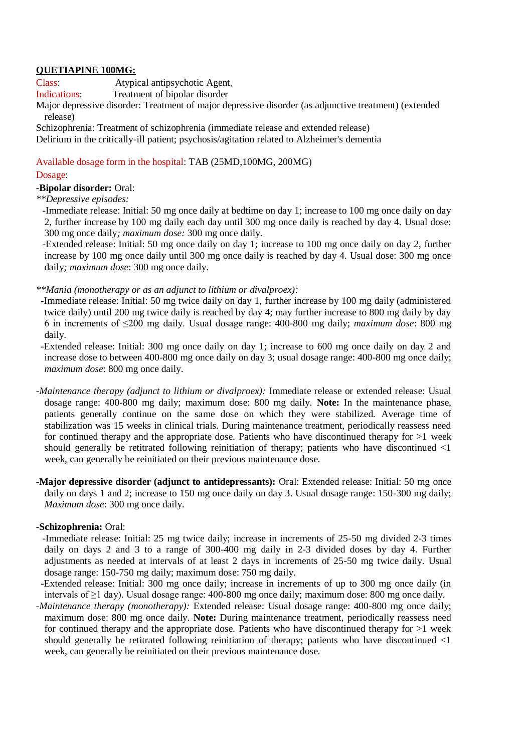## **QUETIAPINE 100MG:**

Class: Atypical antipsychotic Agent,

Indications: Treatment of bipolar disorder

Major depressive disorder: Treatment of major depressive disorder (as adjunctive treatment) (extended release)

Schizophrenia: Treatment of schizophrenia (immediate release and extended release) Delirium in the critically-ill patient; psychosis/agitation related to Alzheimer's dementia

Available dosage form in the hospital: TAB (25MD,100MG, 200MG)

## Dosage:

**-Bipolar disorder:** Oral:

*\*\*Depressive episodes:*

-Immediate release: Initial: 50 mg once daily at bedtime on day 1; increase to 100 mg once daily on day 2, further increase by 100 mg daily each day until 300 mg once daily is reached by day 4. Usual dose: 300 mg once daily*; maximum dose:* 300 mg once daily.

-Extended release: Initial: 50 mg once daily on day 1; increase to 100 mg once daily on day 2, further increase by 100 mg once daily until 300 mg once daily is reached by day 4. Usual dose: 300 mg once daily*; maximum dose*: 300 mg once daily.

*\*\*Mania (monotherapy or as an adjunct to lithium or divalproex):*

 -Immediate release: Initial: 50 mg twice daily on day 1, further increase by 100 mg daily (administered twice daily) until 200 mg twice daily is reached by day 4; may further increase to 800 mg daily by day 6 in increments of ≤200 mg daily. Usual dosage range: 400-800 mg daily; *maximum dose*: 800 mg daily.

 -Extended release: Initial: 300 mg once daily on day 1; increase to 600 mg once daily on day 2 and increase dose to between 400-800 mg once daily on day 3; usual dosage range: 400-800 mg once daily; *maximum dose*: 800 mg once daily.

*-Maintenance therapy (adjunct to lithium or divalproex):* Immediate release or extended release: Usual dosage range: 400-800 mg daily; maximum dose: 800 mg daily. **Note:** In the maintenance phase, patients generally continue on the same dose on which they were stabilized. Average time of stabilization was 15 weeks in clinical trials. During maintenance treatment, periodically reassess need for continued therapy and the appropriate dose. Patients who have discontinued therapy for  $>1$  week should generally be retitrated following reinitiation of therapy; patients who have discontinued <1 week, can generally be reinitiated on their previous maintenance dose.

**-Major depressive disorder (adjunct to antidepressants):** Oral: Extended release: Initial: 50 mg once daily on days 1 and 2; increase to 150 mg once daily on day 3. Usual dosage range: 150-300 mg daily; *Maximum dose*: 300 mg once daily.

## **-Schizophrenia:** Oral:

-Immediate release: Initial: 25 mg twice daily; increase in increments of 25-50 mg divided 2-3 times daily on days 2 and 3 to a range of 300-400 mg daily in 2-3 divided doses by day 4. Further adjustments as needed at intervals of at least 2 days in increments of 25-50 mg twice daily. Usual dosage range: 150-750 mg daily; maximum dose: 750 mg daily.

 -Extended release: Initial: 300 mg once daily; increase in increments of up to 300 mg once daily (in intervals of ≥1 day). Usual dosage range: 400-800 mg once daily; maximum dose: 800 mg once daily.

*-Maintenance therapy (monotherapy):* Extended release: Usual dosage range: 400-800 mg once daily; maximum dose: 800 mg once daily. **Note:** During maintenance treatment, periodically reassess need for continued therapy and the appropriate dose. Patients who have discontinued therapy for  $>1$  week should generally be retitrated following reinitiation of therapy; patients who have discontinued <1 week, can generally be reinitiated on their previous maintenance dose.